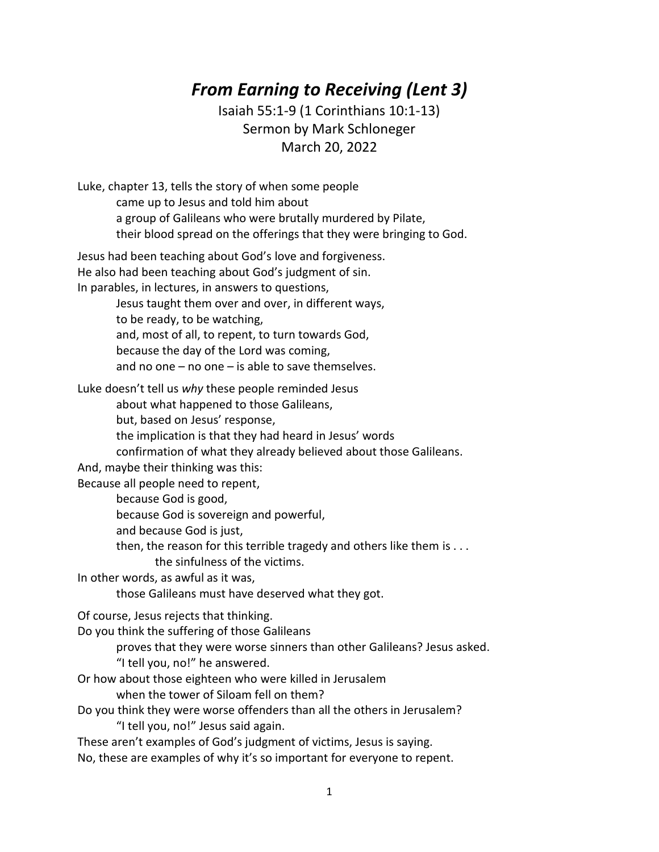## *From Earning to Receiving (Lent 3)*

Isaiah 55:1-9 (1 Corinthians 10:1-13) Sermon by Mark Schloneger March 20, 2022

Luke, chapter 13, tells the story of when some people came up to Jesus and told him about a group of Galileans who were brutally murdered by Pilate, their blood spread on the offerings that they were bringing to God. Jesus had been teaching about God's love and forgiveness.

He also had been teaching about God's judgment of sin. In parables, in lectures, in answers to questions,

> Jesus taught them over and over, in different ways, to be ready, to be watching, and, most of all, to repent, to turn towards God, because the day of the Lord was coming, and no one – no one – is able to save themselves.

Luke doesn't tell us *why* these people reminded Jesus

about what happened to those Galileans,

but, based on Jesus' response,

the implication is that they had heard in Jesus' words

confirmation of what they already believed about those Galileans.

And, maybe their thinking was this:

Because all people need to repent,

because God is good,

because God is sovereign and powerful,

and because God is just,

then, the reason for this terrible tragedy and others like them is . . .

the sinfulness of the victims.

In other words, as awful as it was,

those Galileans must have deserved what they got.

Of course, Jesus rejects that thinking.

Do you think the suffering of those Galileans

proves that they were worse sinners than other Galileans? Jesus asked.

"I tell you, no!" he answered.

Or how about those eighteen who were killed in Jerusalem

when the tower of Siloam fell on them?

Do you think they were worse offenders than all the others in Jerusalem? "I tell you, no!" Jesus said again.

These aren't examples of God's judgment of victims, Jesus is saying.

No, these are examples of why it's so important for everyone to repent.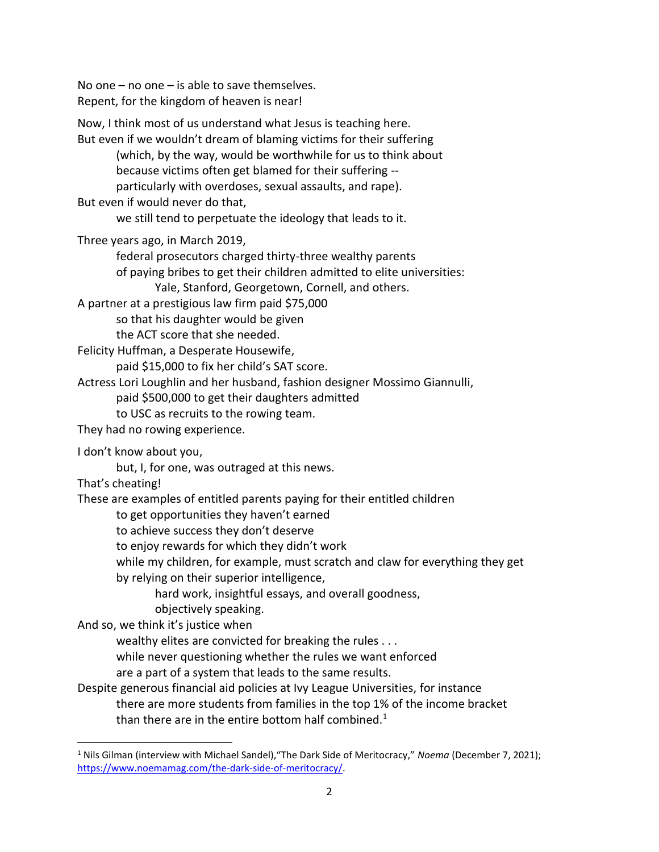No one – no one – is able to save themselves. Repent, for the kingdom of heaven is near!

Now, I think most of us understand what Jesus is teaching here. But even if we wouldn't dream of blaming victims for their suffering (which, by the way, would be worthwhile for us to think about because victims often get blamed for their suffering - particularly with overdoses, sexual assaults, and rape). But even if would never do that, we still tend to perpetuate the ideology that leads to it. Three years ago, in March 2019, federal prosecutors charged thirty-three wealthy parents of paying bribes to get their children admitted to elite universities: Yale, Stanford, Georgetown, Cornell, and others. A partner at a prestigious law firm paid \$75,000 so that his daughter would be given the ACT score that she needed. Felicity Huffman, a Desperate Housewife, paid \$15,000 to fix her child's SAT score. Actress Lori Loughlin and her husband, fashion designer Mossimo Giannulli, paid \$500,000 to get their daughters admitted to USC as recruits to the rowing team. They had no rowing experience. I don't know about you, but, I, for one, was outraged at this news. That's cheating! These are examples of entitled parents paying for their entitled children to get opportunities they haven't earned to achieve success they don't deserve to enjoy rewards for which they didn't work while my children, for example, must scratch and claw for everything they get by relying on their superior intelligence, hard work, insightful essays, and overall goodness, objectively speaking. And so, we think it's justice when wealthy elites are convicted for breaking the rules . . . while never questioning whether the rules we want enforced are a part of a system that leads to the same results. Despite generous financial aid policies at Ivy League Universities, for instance there are more students from families in the top 1% of the income bracket than there are in the entire bottom half combined.<sup>1</sup>

 $\overline{\phantom{a}}$ 

<sup>1</sup> Nils Gilman (interview with Michael Sandel),"The Dark Side of Meritocracy," *Noema* (December 7, 2021); [https://www.noemamag.com/the-dark-side-of-meritocracy/.](https://www.noemamag.com/the-dark-side-of-meritocracy/)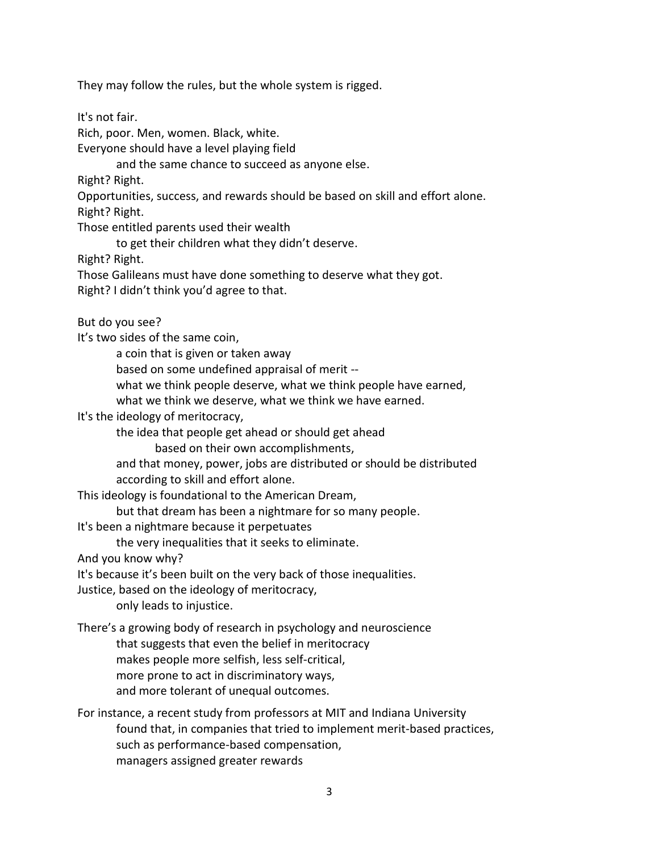They may follow the rules, but the whole system is rigged.

It's not fair.

Rich, poor. Men, women. Black, white.

Everyone should have a level playing field

and the same chance to succeed as anyone else.

Right? Right.

Opportunities, success, and rewards should be based on skill and effort alone.

Right? Right.

Those entitled parents used their wealth

to get their children what they didn't deserve.

Right? Right.

Those Galileans must have done something to deserve what they got.

Right? I didn't think you'd agree to that.

But do you see?

It's two sides of the same coin,

a coin that is given or taken away

based on some undefined appraisal of merit --

what we think people deserve, what we think people have earned,

what we think we deserve, what we think we have earned.

It's the ideology of meritocracy,

the idea that people get ahead or should get ahead

based on their own accomplishments,

and that money, power, jobs are distributed or should be distributed according to skill and effort alone.

This ideology is foundational to the American Dream,

but that dream has been a nightmare for so many people.

It's been a nightmare because it perpetuates

the very inequalities that it seeks to eliminate.

And you know why?

It's because it's been built on the very back of those inequalities.

Justice, based on the ideology of meritocracy,

only leads to injustice.

There's a growing body of research in psychology and neuroscience

that suggests that even the belief in meritocracy

makes people more selfish, less self-critical,

more prone to act in discriminatory ways,

and more tolerant of unequal outcomes.

For instance, a recent study from professors at MIT and Indiana University found that, in companies that tried to implement merit-based practices, such as performance-based compensation, managers assigned greater rewards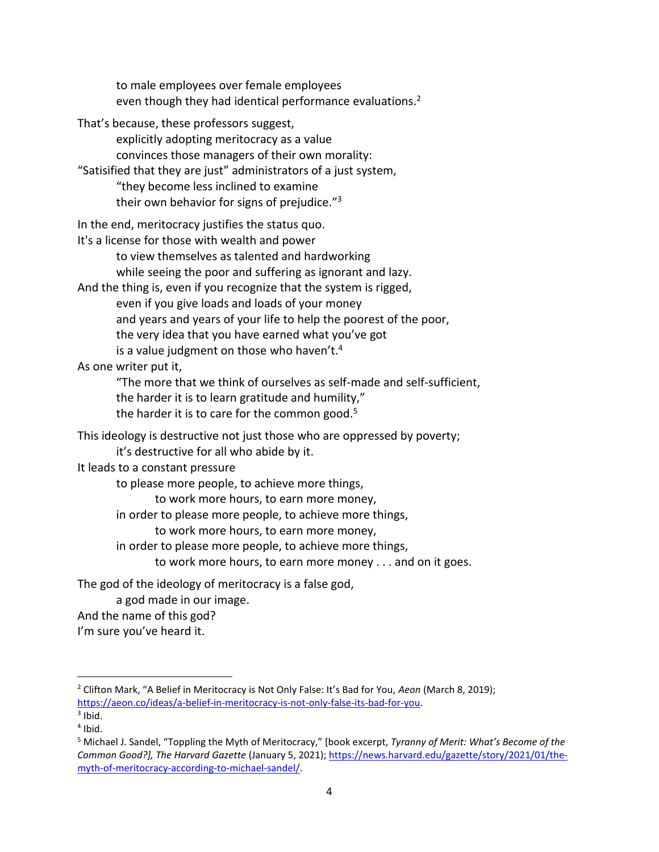to male employees over female employees even though they had identical performance evaluations.<sup>2</sup>

That's because, these professors suggest, explicitly adopting meritocracy as a value convinces those managers of their own morality: "Satisified that they are just" administrators of a just system, "they become less inclined to examine their own behavior for signs of prejudice."<sup>3</sup> In the end, meritocracy justifies the status quo. It's a license for those with wealth and power to view themselves as talented and hardworking while seeing the poor and suffering as ignorant and lazy. And the thing is, even if you recognize that the system is rigged, even if you give loads and loads of your money and years and years of your life to help the poorest of the poor, the very idea that you have earned what you've got is a value judgment on those who haven't. 4 As one writer put it, "The more that we think of ourselves as self-made and self-sufficient, the harder it is to learn gratitude and humility," the harder it is to care for the common good. $5$ This ideology is destructive not just those who are oppressed by poverty; it's destructive for all who abide by it. It leads to a constant pressure to please more people, to achieve more things,

to work more hours, to earn more money,

in order to please more people, to achieve more things,

to work more hours, to earn more money,

in order to please more people, to achieve more things,

to work more hours, to earn more money . . . and on it goes.

The god of the ideology of meritocracy is a false god,

a god made in our image.

And the name of this god?

I'm sure you've heard it.

 $\overline{\phantom{a}}$ 

<sup>2</sup> Clifton Mark, "A Belief in Meritocracy is Not Only False: It's Bad for You, *Aeon* (March 8, 2019); [https://aeon.co/ideas/a-belief-in-meritocracy-is-not-only-false-its-bad-for-you.](https://aeon.co/ideas/a-belief-in-meritocracy-is-not-only-false-its-bad-for-you)

 $3$  Ibid. 4 Ibid.

<sup>5</sup> Michael J. Sandel, "Toppling the Myth of Meritocracy," [book excerpt, *Tyranny of Merit: What's Become of the Common Good?], The Harvard Gazette* (January 5, 2021)[; https://news.harvard.edu/gazette/story/2021/01/the](https://news.harvard.edu/gazette/story/2021/01/the-myth-of-meritocracy-according-to-michael-sandel/)[myth-of-meritocracy-according-to-michael-sandel/.](https://news.harvard.edu/gazette/story/2021/01/the-myth-of-meritocracy-according-to-michael-sandel/)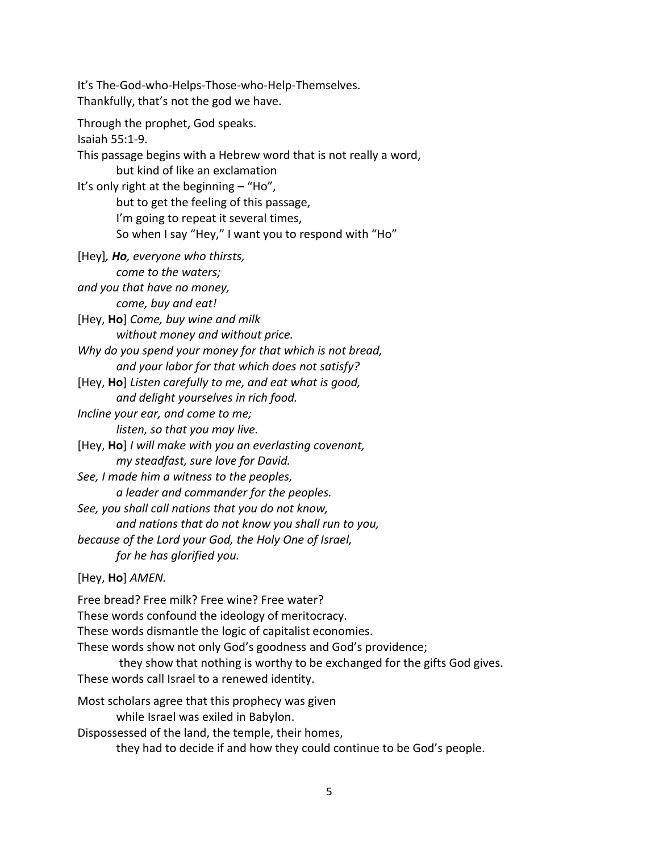It's The-God-who-Helps-Those-who-Help-Themselves. Thankfully, that's not the god we have. Through the prophet, God speaks. Isaiah 55:1-9. This passage begins with a Hebrew word that is not really a word, but kind of like an exclamation It's only right at the beginning – "Ho", but to get the feeling of this passage, I'm going to repeat it several times, So when I say "Hey," I want you to respond with "Ho" [Hey]*, Ho, everyone who thirsts, come to the waters; and you that have no money, come, buy and eat!* [Hey, **Ho**] *Come, buy wine and milk without money and without price. Why do you spend your money for that which is not bread, and your labor for that which does not satisfy?* [Hey, **Ho**] *Listen carefully to me, and eat what is good, and delight yourselves in rich food. Incline your ear, and come to me; listen, so that you may live.* [Hey, **Ho**] *I will make with you an everlasting covenant, my steadfast, sure love for David. See, I made him a witness to the peoples, a leader and commander for the peoples. See, you shall call nations that you do not know, and nations that do not know you shall run to you, because of the Lord your God, the Holy One of Israel, for he has glorified you.* [Hey, **Ho**] *AMEN.* Free bread? Free milk? Free wine? Free water? These words confound the ideology of meritocracy. These words dismantle the logic of capitalist economies. These words show not only God's goodness and God's providence; they show that nothing is worthy to be exchanged for the gifts God gives. These words call Israel to a renewed identity. Most scholars agree that this prophecy was given while Israel was exiled in Babylon. Dispossessed of the land, the temple, their homes, they had to decide if and how they could continue to be God's people.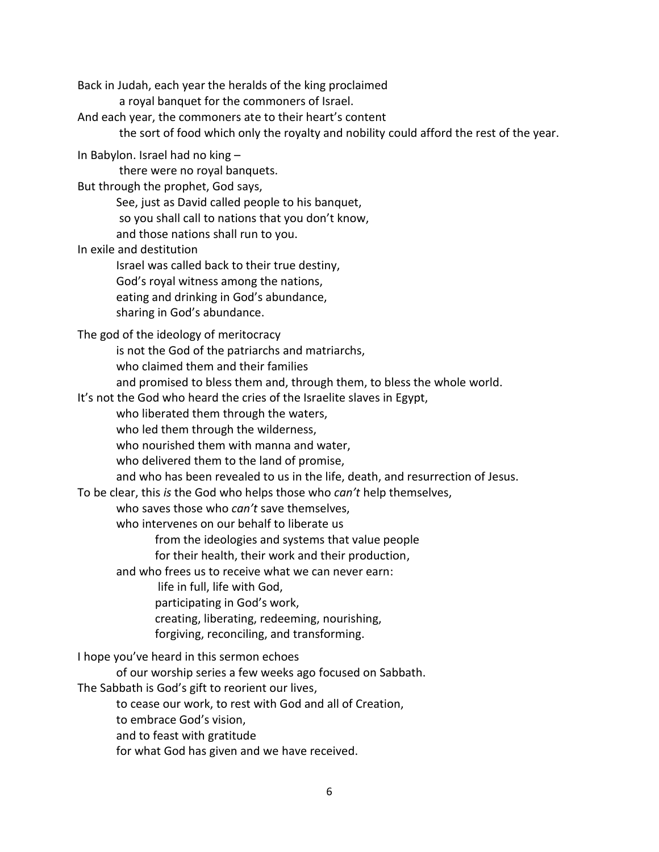Back in Judah, each year the heralds of the king proclaimed

a royal banquet for the commoners of Israel.

And each year, the commoners ate to their heart's content

the sort of food which only the royalty and nobility could afford the rest of the year.

In Babylon. Israel had no king –

there were no royal banquets.

But through the prophet, God says,

See, just as David called people to his banquet,

so you shall call to nations that you don't know,

and those nations shall run to you.

In exile and destitution

Israel was called back to their true destiny,

God's royal witness among the nations,

eating and drinking in God's abundance,

sharing in God's abundance.

The god of the ideology of meritocracy

is not the God of the patriarchs and matriarchs,

- who claimed them and their families
- and promised to bless them and, through them, to bless the whole world.

It's not the God who heard the cries of the Israelite slaves in Egypt,

who liberated them through the waters,

who led them through the wilderness,

who nourished them with manna and water,

who delivered them to the land of promise,

and who has been revealed to us in the life, death, and resurrection of Jesus.

To be clear, this *is* the God who helps those who *can't* help themselves,

who saves those who *can't* save themselves,

who intervenes on our behalf to liberate us

from the ideologies and systems that value people

for their health, their work and their production,

and who frees us to receive what we can never earn:

life in full, life with God,

participating in God's work,

creating, liberating, redeeming, nourishing,

forgiving, reconciling, and transforming.

I hope you've heard in this sermon echoes

of our worship series a few weeks ago focused on Sabbath.

The Sabbath is God's gift to reorient our lives,

to cease our work, to rest with God and all of Creation,

- to embrace God's vision,
- and to feast with gratitude

for what God has given and we have received.